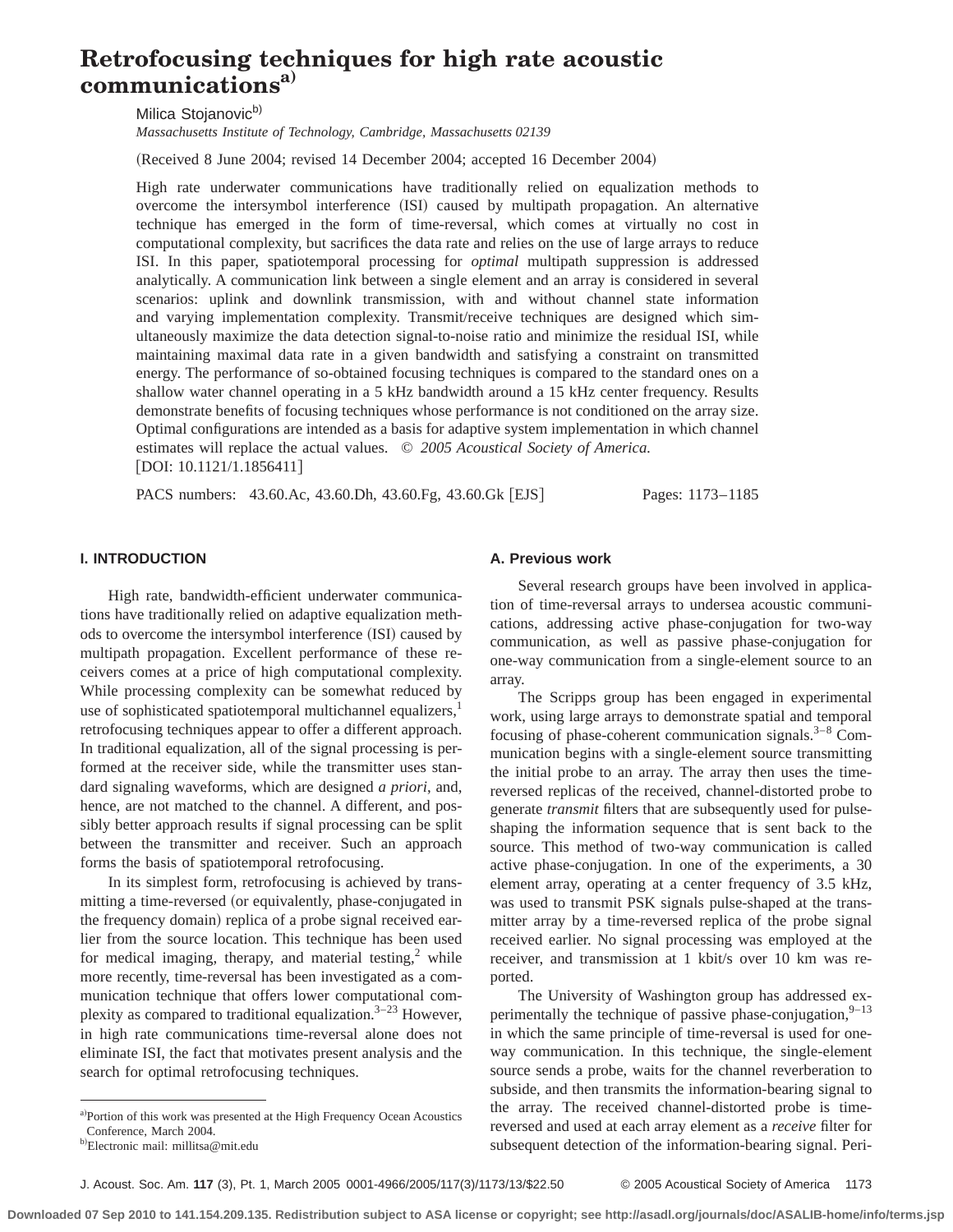# **Retrofocusing techniques for high rate acoustic communicationsa)**

Milica Stojanovic<sup>b)</sup>

*Massachusetts Institute of Technology, Cambridge, Massachusetts 02139*

(Received 8 June 2004; revised 14 December 2004; accepted 16 December 2004)

High rate underwater communications have traditionally relied on equalization methods to overcome the intersymbol interference (ISI) caused by multipath propagation. An alternative technique has emerged in the form of time-reversal, which comes at virtually no cost in computational complexity, but sacrifices the data rate and relies on the use of large arrays to reduce ISI. In this paper, spatiotemporal processing for *optimal* multipath suppression is addressed analytically. A communication link between a single element and an array is considered in several scenarios: uplink and downlink transmission, with and without channel state information and varying implementation complexity. Transmit/receive techniques are designed which simultaneously maximize the data detection signal-to-noise ratio and minimize the residual ISI, while maintaining maximal data rate in a given bandwidth and satisfying a constraint on transmitted energy. The performance of so-obtained focusing techniques is compared to the standard ones on a shallow water channel operating in a 5 kHz bandwidth around a 15 kHz center frequency. Results demonstrate benefits of focusing techniques whose performance is not conditioned on the array size. Optimal configurations are intended as a basis for adaptive system implementation in which channel estimates will replace the actual values. © *2005 Acoustical Society of America.* [DOI: 10.1121/1.1856411]

PACS numbers: 43.60.Ac, 43.60.Dh, 43.60.Fg, 43.60.Gk [EJS] Pages: 1173–1185

## **I. INTRODUCTION**

High rate, bandwidth-efficient underwater communications have traditionally relied on adaptive equalization methods to overcome the intersymbol interference (ISI) caused by multipath propagation. Excellent performance of these receivers comes at a price of high computational complexity. While processing complexity can be somewhat reduced by use of sophisticated spatiotemporal multichannel equalizers, $<sup>1</sup>$ </sup> retrofocusing techniques appear to offer a different approach. In traditional equalization, all of the signal processing is performed at the receiver side, while the transmitter uses standard signaling waveforms, which are designed *a priori*, and, hence, are not matched to the channel. A different, and possibly better approach results if signal processing can be split between the transmitter and receiver. Such an approach forms the basis of spatiotemporal retrofocusing.

In its simplest form, retrofocusing is achieved by transmitting a time-reversed (or equivalently, phase-conjugated in the frequency domain) replica of a probe signal received earlier from the source location. This technique has been used for medical imaging, therapy, and material testing, $2$  while more recently, time-reversal has been investigated as a communication technique that offers lower computational complexity as compared to traditional equalization. $3-23$  However, in high rate communications time-reversal alone does not eliminate ISI, the fact that motivates present analysis and the search for optimal retrofocusing techniques.

#### **A. Previous work**

Several research groups have been involved in application of time-reversal arrays to undersea acoustic communications, addressing active phase-conjugation for two-way communication, as well as passive phase-conjugation for one-way communication from a single-element source to an array.

The Scripps group has been engaged in experimental work, using large arrays to demonstrate spatial and temporal focusing of phase-coherent communication signals.<sup>3–8</sup> Communication begins with a single-element source transmitting the initial probe to an array. The array then uses the timereversed replicas of the received, channel-distorted probe to generate *transmit* filters that are subsequently used for pulseshaping the information sequence that is sent back to the source. This method of two-way communication is called active phase-conjugation. In one of the experiments, a 30 element array, operating at a center frequency of 3.5 kHz, was used to transmit PSK signals pulse-shaped at the transmitter array by a time-reversed replica of the probe signal received earlier. No signal processing was employed at the receiver, and transmission at 1 kbit/s over 10 km was reported.

The University of Washington group has addressed experimentally the technique of passive phase-conjugation, $9-13$ in which the same principle of time-reversal is used for oneway communication. In this technique, the single-element source sends a probe, waits for the channel reverberation to subside, and then transmits the information-bearing signal to the array. The received channel-distorted probe is timereversed and used at each array element as a *receive* filter for subsequent detection of the information-bearing signal. Peri-

a)Portion of this work was presented at the High Frequency Ocean Acoustics Conference, March 2004.

<sup>&</sup>lt;sup>b)</sup>Electronic mail: millitsa@mit.edu

J. Acoust. Soc. Am. **117** (3), Pt. 1, March 2005 0001-4966/2005/117(3)/1173/13/\$22.50 © 2005 Acoustical Society of America 1173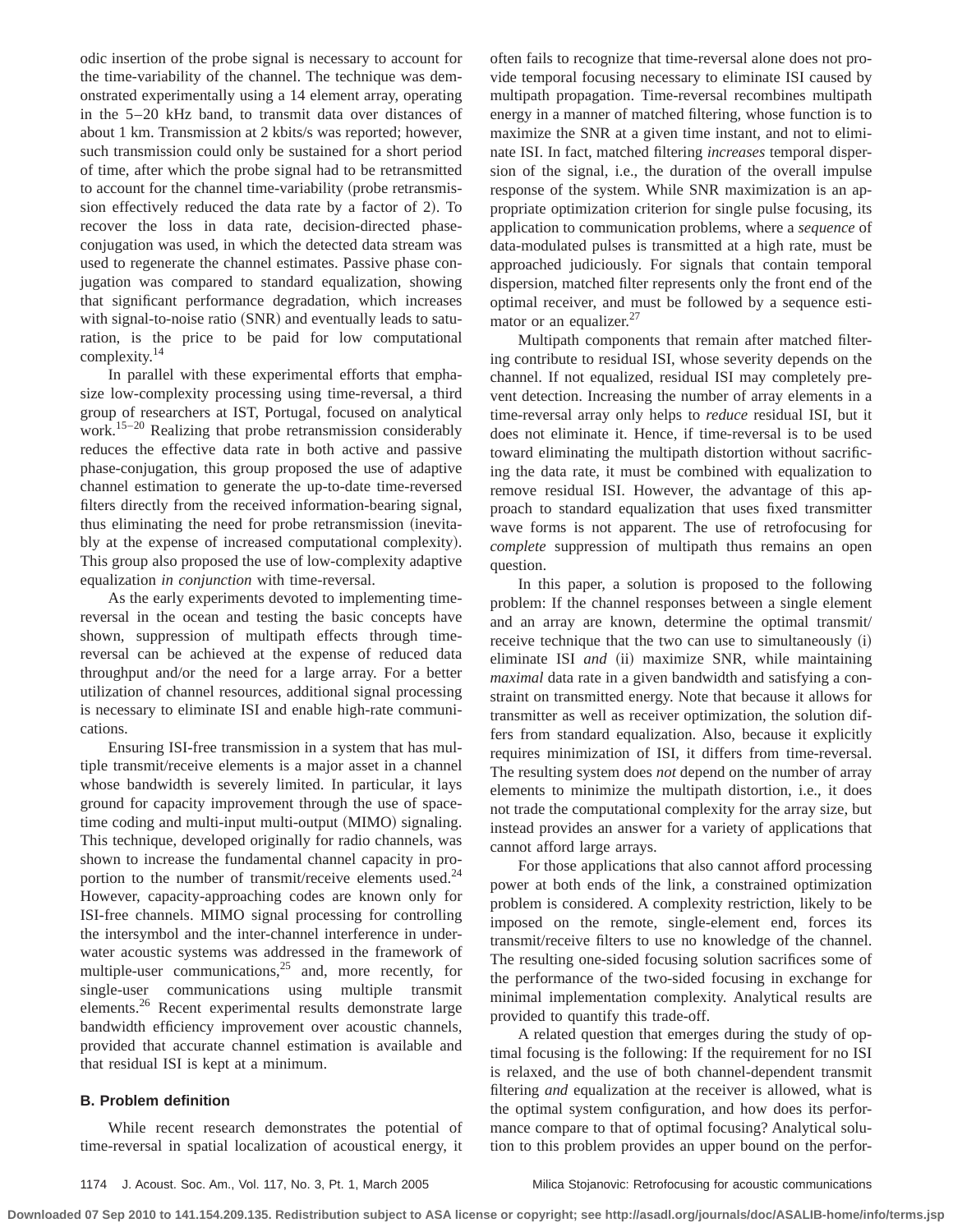odic insertion of the probe signal is necessary to account for the time-variability of the channel. The technique was demonstrated experimentally using a 14 element array, operating in the 5–20 kHz band, to transmit data over distances of about 1 km. Transmission at 2 kbits/s was reported; however, such transmission could only be sustained for a short period of time, after which the probe signal had to be retransmitted to account for the channel time-variability (probe retransmission effectively reduced the data rate by a factor of 2). To recover the loss in data rate, decision-directed phaseconjugation was used, in which the detected data stream was used to regenerate the channel estimates. Passive phase conjugation was compared to standard equalization, showing that significant performance degradation, which increases with signal-to-noise ratio  $(SNR)$  and eventually leads to saturation, is the price to be paid for low computational complexity.<sup>14</sup>

In parallel with these experimental efforts that emphasize low-complexity processing using time-reversal, a third group of researchers at IST, Portugal, focused on analytical work.15–20 Realizing that probe retransmission considerably reduces the effective data rate in both active and passive phase-conjugation, this group proposed the use of adaptive channel estimation to generate the up-to-date time-reversed filters directly from the received information-bearing signal, thus eliminating the need for probe retransmission (inevitably at the expense of increased computational complexity). This group also proposed the use of low-complexity adaptive equalization *in conjunction* with time-reversal.

As the early experiments devoted to implementing timereversal in the ocean and testing the basic concepts have shown, suppression of multipath effects through timereversal can be achieved at the expense of reduced data throughput and/or the need for a large array. For a better utilization of channel resources, additional signal processing is necessary to eliminate ISI and enable high-rate communications.

Ensuring ISI-free transmission in a system that has multiple transmit/receive elements is a major asset in a channel whose bandwidth is severely limited. In particular, it lays ground for capacity improvement through the use of spacetime coding and multi-input multi-output (MIMO) signaling. This technique, developed originally for radio channels, was shown to increase the fundamental channel capacity in proportion to the number of transmit/receive elements used.<sup>24</sup> However, capacity-approaching codes are known only for ISI-free channels. MIMO signal processing for controlling the intersymbol and the inter-channel interference in underwater acoustic systems was addressed in the framework of multiple-user communications, $25$  and, more recently, for single-user communications using multiple transmit elements.26 Recent experimental results demonstrate large bandwidth efficiency improvement over acoustic channels, provided that accurate channel estimation is available and that residual ISI is kept at a minimum.

# **B. Problem definition**

While recent research demonstrates the potential of time-reversal in spatial localization of acoustical energy, it often fails to recognize that time-reversal alone does not provide temporal focusing necessary to eliminate ISI caused by multipath propagation. Time-reversal recombines multipath energy in a manner of matched filtering, whose function is to maximize the SNR at a given time instant, and not to eliminate ISI. In fact, matched filtering *increases* temporal dispersion of the signal, i.e., the duration of the overall impulse response of the system. While SNR maximization is an appropriate optimization criterion for single pulse focusing, its application to communication problems, where a *sequence* of data-modulated pulses is transmitted at a high rate, must be approached judiciously. For signals that contain temporal dispersion, matched filter represents only the front end of the optimal receiver, and must be followed by a sequence estimator or an equalizer.<sup>27</sup>

Multipath components that remain after matched filtering contribute to residual ISI, whose severity depends on the channel. If not equalized, residual ISI may completely prevent detection. Increasing the number of array elements in a time-reversal array only helps to *reduce* residual ISI, but it does not eliminate it. Hence, if time-reversal is to be used toward eliminating the multipath distortion without sacrificing the data rate, it must be combined with equalization to remove residual ISI. However, the advantage of this approach to standard equalization that uses fixed transmitter wave forms is not apparent. The use of retrofocusing for *complete* suppression of multipath thus remains an open question.

In this paper, a solution is proposed to the following problem: If the channel responses between a single element and an array are known, determine the optimal transmit/ receive technique that the two can use to simultaneously  $(i)$ eliminate ISI *and* (ii) maximize SNR, while maintaining *maximal* data rate in a given bandwidth and satisfying a constraint on transmitted energy. Note that because it allows for transmitter as well as receiver optimization, the solution differs from standard equalization. Also, because it explicitly requires minimization of ISI, it differs from time-reversal. The resulting system does *not* depend on the number of array elements to minimize the multipath distortion, i.e., it does not trade the computational complexity for the array size, but instead provides an answer for a variety of applications that cannot afford large arrays.

For those applications that also cannot afford processing power at both ends of the link, a constrained optimization problem is considered. A complexity restriction, likely to be imposed on the remote, single-element end, forces its transmit/receive filters to use no knowledge of the channel. The resulting one-sided focusing solution sacrifices some of the performance of the two-sided focusing in exchange for minimal implementation complexity. Analytical results are provided to quantify this trade-off.

A related question that emerges during the study of optimal focusing is the following: If the requirement for no ISI is relaxed, and the use of both channel-dependent transmit filtering *and* equalization at the receiver is allowed, what is the optimal system configuration, and how does its performance compare to that of optimal focusing? Analytical solution to this problem provides an upper bound on the perfor-

1174 J. Acoust. Soc. Am., Vol. 117, No. 3, Pt. 1, March 2005 Milica Stojanovic: Retrofocusing for acoustic communications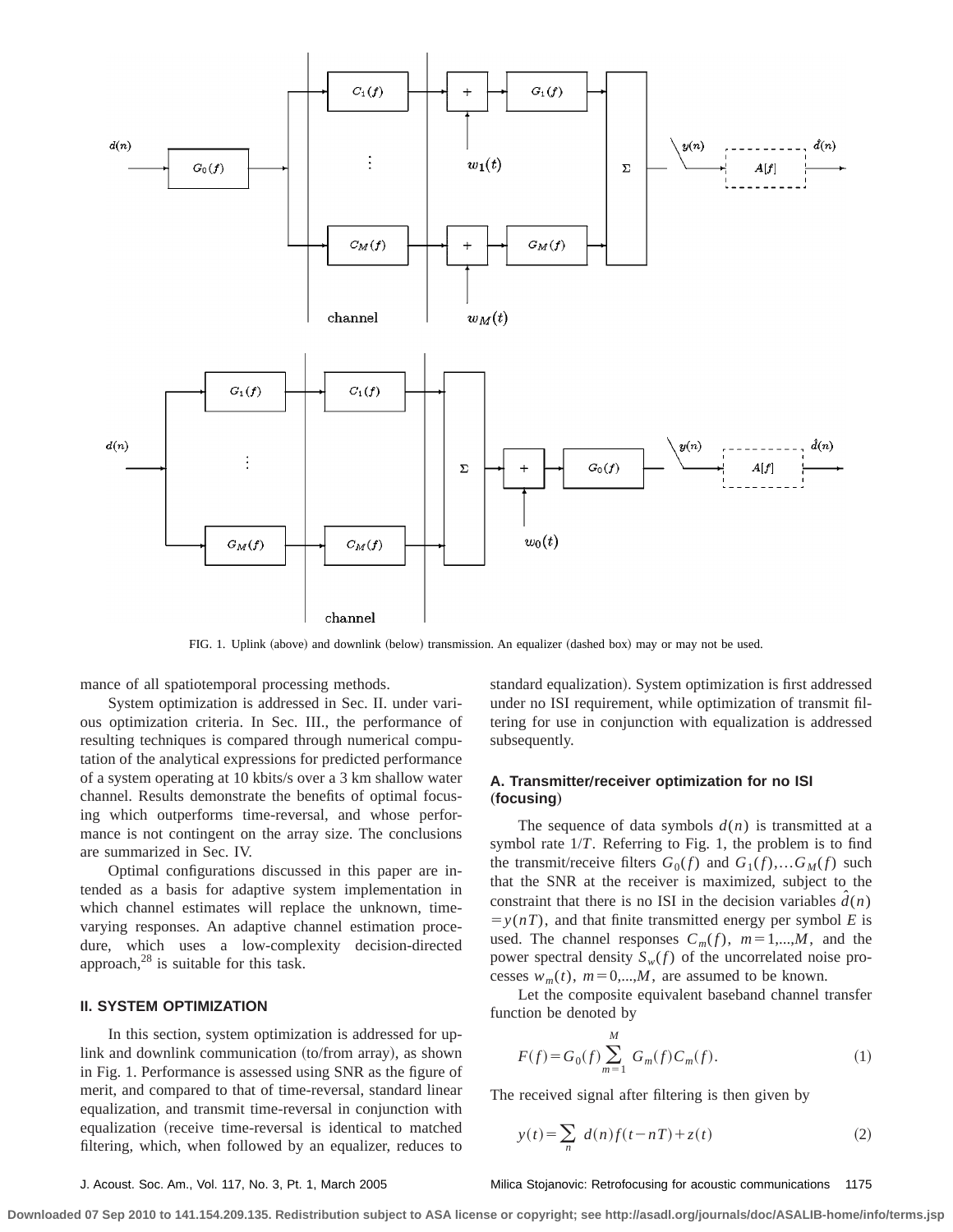

FIG. 1. Uplink (above) and downlink (below) transmission. An equalizer (dashed box) may or may not be used.

mance of all spatiotemporal processing methods.

System optimization is addressed in Sec. II. under various optimization criteria. In Sec. III., the performance of resulting techniques is compared through numerical computation of the analytical expressions for predicted performance of a system operating at 10 kbits/s over a 3 km shallow water channel. Results demonstrate the benefits of optimal focusing which outperforms time-reversal, and whose performance is not contingent on the array size. The conclusions are summarized in Sec. IV.

Optimal configurations discussed in this paper are intended as a basis for adaptive system implementation in which channel estimates will replace the unknown, timevarying responses. An adaptive channel estimation procedure, which uses a low-complexity decision-directed approach, $^{28}$  is suitable for this task.

# **II. SYSTEM OPTIMIZATION**

In this section, system optimization is addressed for uplink and downlink communication (to/from array), as shown in Fig. 1. Performance is assessed using SNR as the figure of merit, and compared to that of time-reversal, standard linear equalization, and transmit time-reversal in conjunction with equalization (receive time-reversal is identical to matched filtering, which, when followed by an equalizer, reduces to standard equalization). System optimization is first addressed under no ISI requirement, while optimization of transmit filtering for use in conjunction with equalization is addressed subsequently.

# A. Transmitter/receiver optimization for no ISI "**focusing**…

The sequence of data symbols  $d(n)$  is transmitted at a symbol rate 1/*T*. Referring to Fig. 1, the problem is to find the transmit/receive filters  $G_0(f)$  and  $G_1(f),...G_M(f)$  such that the SNR at the receiver is maximized, subject to the constraint that there is no ISI in the decision variables  $\hat{d}(n)$  $y(n)$ , and that finite transmitted energy per symbol *E* is used. The channel responses  $C_m(f)$ ,  $m=1,...,M$ , and the power spectral density  $S_w(f)$  of the uncorrelated noise processes  $w_m(t)$ ,  $m=0,...,M$ , are assumed to be known.

Let the composite equivalent baseband channel transfer function be denoted by

$$
F(f) = G_0(f) \sum_{m=1}^{M} G_m(f) C_m(f).
$$
 (1)

The received signal after filtering is then given by

$$
y(t) = \sum_{n} d(n)f(t - nT) + z(t)
$$
 (2)

### J. Acoust. Soc. Am., Vol. 117, No. 3, Pt. 1, March 2005 Milica Stojanovic: Retrofocusing for acoustic communications 1175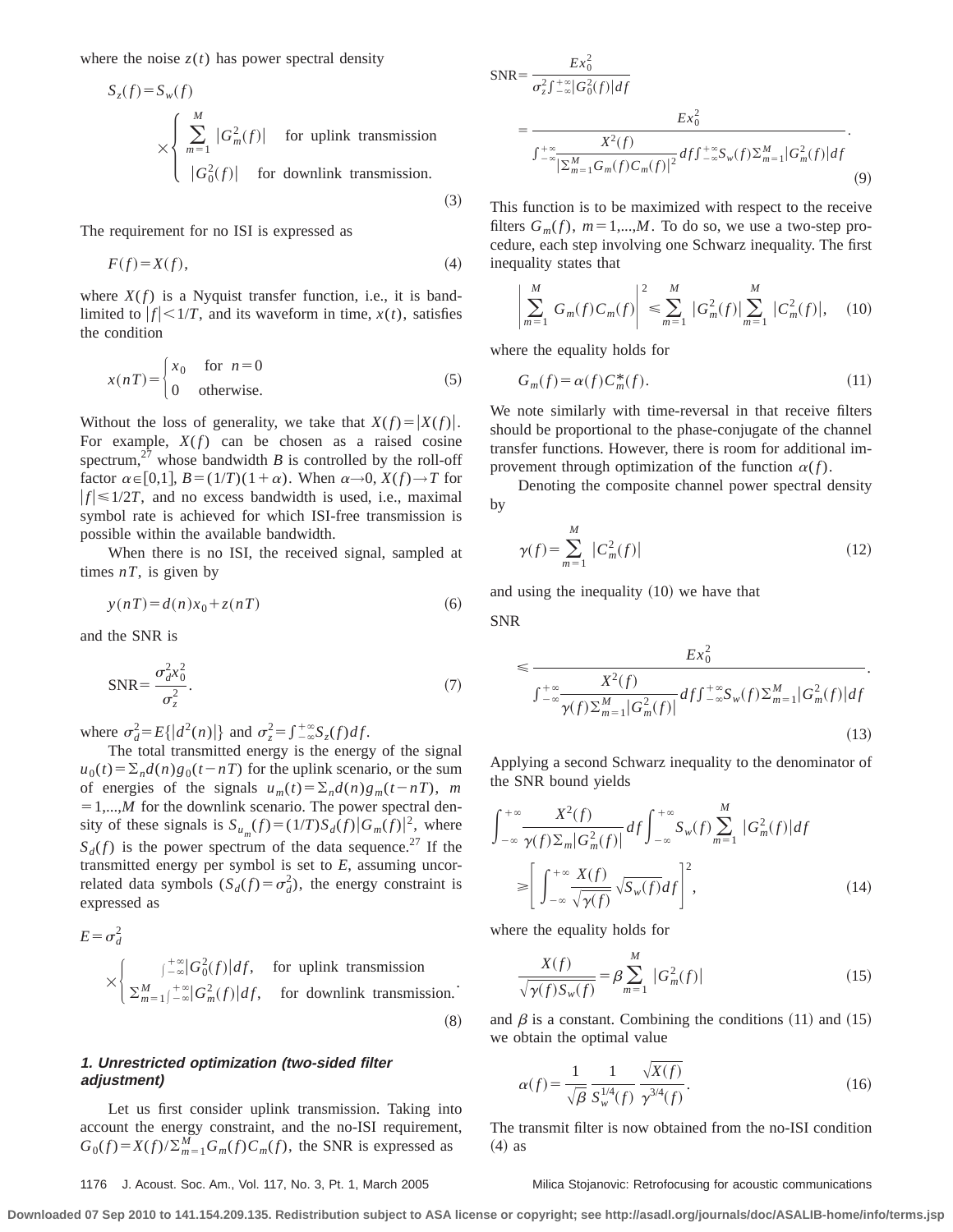where the noise  $z(t)$  has power spectral density

$$
S_z(f) = S_w(f)
$$
  
 
$$
\times \begin{cases} \sum_{m=1}^{M} |G_m^2(f)| & \text{for uplink transmission} \\ |G_0^2(f)| & \text{for downlink transmission.} \end{cases}
$$

The requirement for no ISI is expressed as

$$
F(f) = X(f),\tag{4}
$$

where  $X(f)$  is a Nyquist transfer function, i.e., it is bandlimited to  $|f| < 1/T$ , and its waveform in time,  $x(t)$ , satisfies the condition

$$
x(nT) = \begin{cases} x_0 & \text{for } n = 0\\ 0 & \text{otherwise.} \end{cases}
$$
 (5)

Without the loss of generality, we take that  $X(f) = |X(f)|$ . For example,  $X(f)$  can be chosen as a raised cosine spectrum,<sup>27</sup> whose bandwidth  $B$  is controlled by the roll-off factor  $\alpha \in [0,1]$ ,  $B = (1/T)(1+\alpha)$ . When  $\alpha \rightarrow 0$ ,  $X(f) \rightarrow T$  for  $|f| \le 1/2T$ , and no excess bandwidth is used, i.e., maximal symbol rate is achieved for which ISI-free transmission is possible within the available bandwidth.

When there is no ISI, the received signal, sampled at times  $nT$ , is given by

$$
y(nT) = d(n)x_0 + z(nT)
$$
\n<sup>(6)</sup>

and the SNR is

$$
SNR = \frac{\sigma_d^2 x_0^2}{\sigma_z^2}.
$$
\n(7)

where  $\sigma_d^2 = E\{|d^2(n)|\}$  and  $\sigma_z^2 = \int_{-\infty}^{+\infty} S_z(f) df$ .

The total transmitted energy is the energy of the signal  $u_0(t) = \sum_n d(n)g_0(t - nT)$  for the uplink scenario, or the sum of energies of the signals  $u_m(t) = \sum_n d(n)g_m(t - nT)$ , *m*  $=1,...,M$  for the downlink scenario. The power spectral density of these signals is  $S_{u_m}(f) = (1/T)S_d(f)|G_m(f)|^2$ , where  $S_d(f)$  is the power spectrum of the data sequence.<sup>27</sup> If the transmitted energy per symbol is set to *E*, assuming uncorrelated data symbols  $(S_d(f) = \sigma_d^2)$ , the energy constraint is expressed as

$$
E = \sigma_d^2
$$
  
\n
$$
\times \begin{cases}\n\int_{-\infty}^{+\infty} |G_0^2(f)| df, & \text{for uplink transmission.} \\
\sum_{m=1}^{M} \int_{-\infty}^{+\infty} |G_m^2(f)| df, & \text{for downlink transmission.}\n\end{cases}
$$
\n(8)

# **1. Unrestricted optimization (two-sided filter adjustment)**

Let us first consider uplink transmission. Taking into account the energy constraint, and the no-ISI requirement,  $G_0(f) = X(f)/\sum_{m=1}^{M} G_m(f)C_m(f)$ , the SNR is expressed as

$$
SNR = \frac{Ex_0^2}{\sigma_z^2 f_{-\infty}^{+\infty} |G_0^2(f)| df}
$$
  
= 
$$
\frac{Ex_0^2}{\int_{-\infty}^{+\infty} \frac{X^2(f)}{|\sum_{m=1}^M G_m(f) C_m(f)|^2} df f_{-\infty}^{+\infty} S_w(f) \sum_{m=1}^M |G_m^2(f)| df}.
$$
(9)

This function is to be maximized with respect to the receive filters  $G_m(f)$ ,  $m=1,...,M$ . To do so, we use a two-step procedure, each step involving one Schwarz inequality. The first inequality states that

$$
\left| \sum_{m=1}^{M} G_m(f) C_m(f) \right|^2 \leq \sum_{m=1}^{M} |G_m^2(f)| \sum_{m=1}^{M} |C_m^2(f)|, \quad (10)
$$

where the equality holds for

$$
G_m(f) = \alpha(f) C_m^*(f). \tag{11}
$$

We note similarly with time-reversal in that receive filters should be proportional to the phase-conjugate of the channel transfer functions. However, there is room for additional improvement through optimization of the function  $\alpha(f)$ .

Denoting the composite channel power spectral density by

$$
\gamma(f) = \sum_{m=1}^{M} |C_m^2(f)| \tag{12}
$$

and using the inequality  $(10)$  we have that

SNR

 $(3)$ 

$$
\leq \frac{Ex_0^2}{\int_{-\infty}^{+\infty} \frac{X^2(f)}{\gamma(f)\sum_{m=1}^M |G_m^2(f)|} df \int_{-\infty}^{+\infty} S_w(f) \sum_{m=1}^M |G_m^2(f)| df}.
$$
\n(13)

Applying a second Schwarz inequality to the denominator of the SNR bound yields

$$
\int_{-\infty}^{+\infty} \frac{X^2(f)}{\gamma(f)\Sigma_m|G_m^2(f)|} df \int_{-\infty}^{+\infty} S_w(f) \sum_{m=1}^M |G_m^2(f)| df
$$
  
\n
$$
\geq \left[ \int_{-\infty}^{+\infty} \frac{X(f)}{\sqrt{\gamma(f)}} \sqrt{S_w(f)} df \right]^2,
$$
\n(14)

where the equality holds for

$$
\frac{X(f)}{\sqrt{\gamma(f)S_w(f)}} = \beta \sum_{m=1}^{M} |G_m^2(f)|
$$
\n(15)

and  $\beta$  is a constant. Combining the conditions (11) and (15) we obtain the optimal value

$$
\alpha(f) = \frac{1}{\sqrt{\beta}} \frac{1}{S_w^{1/4}(f)} \frac{\sqrt{X(f)}}{\gamma^{3/4}(f)}.
$$
 (16)

The transmit filter is now obtained from the no-ISI condition  $(4)$  as

### 1176 J. Acoust. Soc. Am., Vol. 117, No. 3, Pt. 1, March 2005 Milica Stojanovic: Retrofocusing for acoustic communications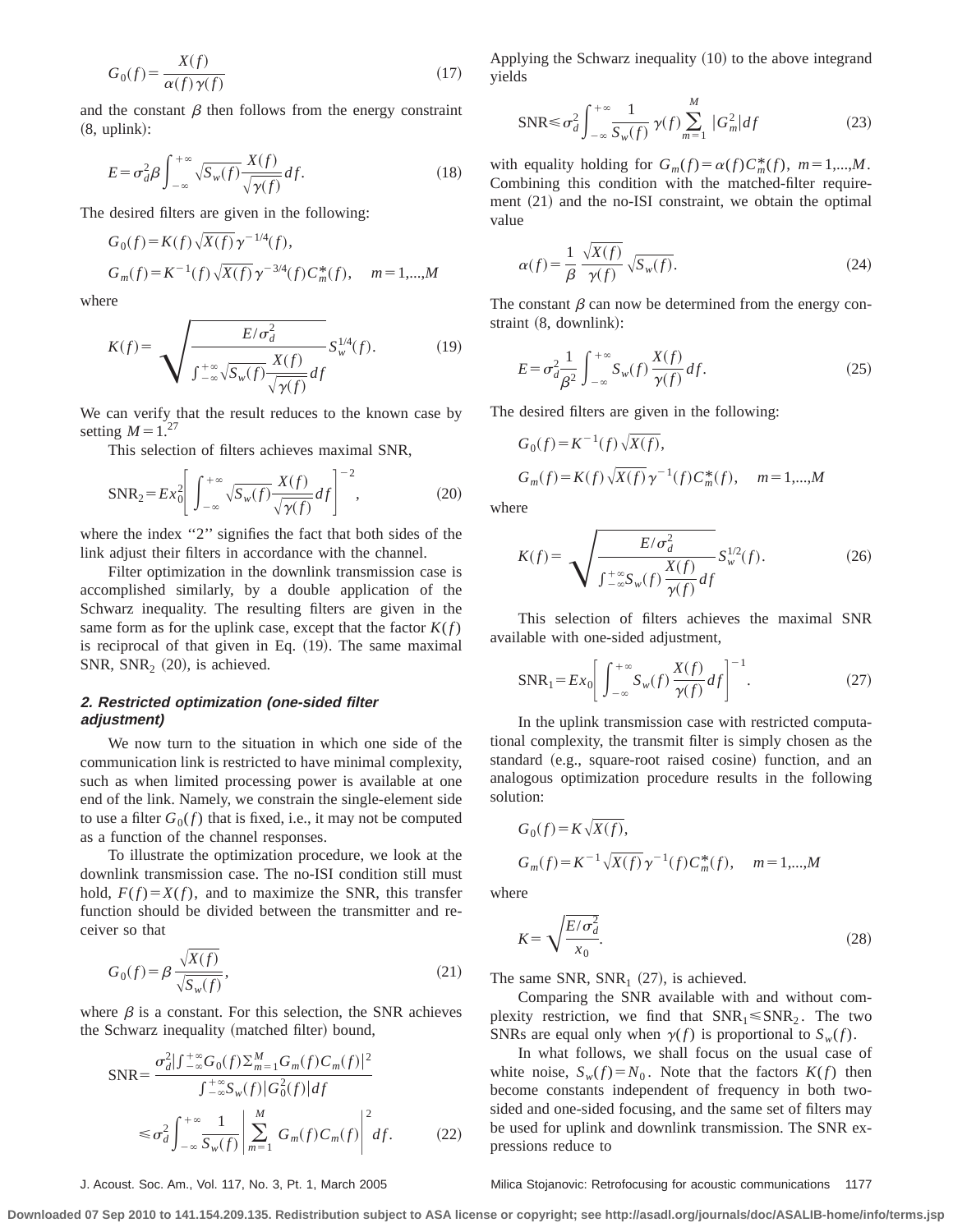$$
G_0(f) = \frac{X(f)}{\alpha(f)\,\gamma(f)}\tag{17}
$$

and the constant  $\beta$  then follows from the energy constraint  $(8, uplink):$ 

$$
E = \sigma_d^2 \beta \int_{-\infty}^{+\infty} \sqrt{S_w(f)} \frac{X(f)}{\sqrt{\gamma(f)}} df.
$$
 (18)

The desired filters are given in the following:

$$
G_0(f) = K(f) \sqrt{X(f)} \gamma^{-1/4}(f),
$$
  
\n
$$
G_m(f) = K^{-1}(f) \sqrt{X(f)} \gamma^{-3/4}(f) C_m^*(f), \quad m = 1,...,M
$$

where

$$
K(f) = \sqrt{\frac{E/\sigma_d^2}{\int_{-\infty}^{+\infty} \sqrt{S_w(f)} \frac{X(f)}{\sqrt{\gamma(f)}} df}} S_w^{1/4}(f). \tag{19}
$$

We can verify that the result reduces to the known case by setting  $M=1.^{27}$ 

This selection of filters achieves maximal SNR,

$$
SNR_2 = Ex_0^2 \left[ \int_{-\infty}^{+\infty} \sqrt{S_w(f)} \frac{X(f)}{\sqrt{\gamma(f)}} df \right]^{-2}, \tag{20}
$$

where the index "2" signifies the fact that both sides of the link adjust their filters in accordance with the channel.

Filter optimization in the downlink transmission case is accomplished similarly, by a double application of the Schwarz inequality. The resulting filters are given in the same form as for the uplink case, except that the factor  $K(f)$ is reciprocal of that given in Eq.  $(19)$ . The same maximal SNR,  $SNR_2$   $(20)$ , is achieved.

# **2. Restricted optimization (one-sided filter adjustment)**

We now turn to the situation in which one side of the communication link is restricted to have minimal complexity, such as when limited processing power is available at one end of the link. Namely, we constrain the single-element side to use a filter  $G_0(f)$  that is fixed, i.e., it may not be computed as a function of the channel responses.

To illustrate the optimization procedure, we look at the downlink transmission case. The no-ISI condition still must hold,  $F(f)=X(f)$ , and to maximize the SNR, this transfer function should be divided between the transmitter and receiver so that

$$
G_0(f) = \beta \frac{\sqrt{X(f)}}{\sqrt{S_w(f)}},\tag{21}
$$

where  $\beta$  is a constant. For this selection, the SNR achieves the Schwarz inequality (matched filter) bound,

$$
SNR = \frac{\sigma_d^2 | \int_{-\infty}^{+\infty} G_0(f) \Sigma_{m=1}^M G_m(f) C_m(f) |^2}{\int_{-\infty}^{+\infty} S_w(f) |G_0^2(f)| df}
$$
  

$$
\leq \sigma_d^2 \int_{-\infty}^{+\infty} \frac{1}{S_w(f)} \left| \sum_{m=1}^M G_m(f) C_m(f) \right|^2 df. \tag{22}
$$

Applying the Schwarz inequality  $(10)$  to the above integrand yields

$$
SNR \leq \sigma_d^2 \int_{-\infty}^{+\infty} \frac{1}{S_w(f)} \gamma(f) \sum_{m=1}^M |G_m^2| df \qquad (23)
$$

with equality holding for  $G_m(f) = \alpha(f)C_m^*(f)$ ,  $m = 1,...,M$ . Combining this condition with the matched-filter requirement  $(21)$  and the no-ISI constraint, we obtain the optimal value

$$
\alpha(f) = \frac{1}{\beta} \frac{\sqrt{X(f)}}{\gamma(f)} \sqrt{S_w(f)}.
$$
\n(24)

The constant  $\beta$  can now be determined from the energy constraint (8, downlink):

$$
E = \sigma_d^2 \frac{1}{\beta^2} \int_{-\infty}^{+\infty} S_w(f) \frac{X(f)}{\gamma(f)} df.
$$
 (25)

The desired filters are given in the following:

$$
G_0(f) = K^{-1}(f)\sqrt{X(f)},
$$
  
\n
$$
G_m(f) = K(f)\sqrt{X(f)}\gamma^{-1}(f)C_m^*(f), \quad m = 1,...,M
$$

where

$$
K(f) = \sqrt{\frac{E/\sigma_d^2}{\int_{-\infty}^{+\infty} S_w(f)} \frac{X(f)}{\gamma(f)} df}} S_w^{1/2}(f).
$$
 (26)

This selection of filters achieves the maximal SNR available with one-sided adjustment,

$$
SNR_1 = Ex_0 \left[ \int_{-\infty}^{+\infty} S_w(f) \frac{X(f)}{\gamma(f)} df \right]^{-1}.
$$
 (27)

In the uplink transmission case with restricted computational complexity, the transmit filter is simply chosen as the standard (e.g., square-root raised cosine) function, and an analogous optimization procedure results in the following solution:

$$
G_0(f) = K\sqrt{X(f)},
$$
  
\n
$$
G_m(f) = K^{-1}\sqrt{X(f)}\gamma^{-1}(f)C_m^*(f), \quad m = 1,...,M
$$

where

$$
K = \sqrt{\frac{E/\sigma_d^2}{x_0}}.\tag{28}
$$

The same SNR,  $SNR_1$  (27), is achieved.

Comparing the SNR available with and without complexity restriction, we find that  $SNR_1 \leq SNR_2$ . The two SNRs are equal only when  $\gamma(f)$  is proportional to  $S_w(f)$ .

In what follows, we shall focus on the usual case of white noise,  $S_w(f) = N_0$ . Note that the factors  $K(f)$  then become constants independent of frequency in both twosided and one-sided focusing, and the same set of filters may be used for uplink and downlink transmission. The SNR expressions reduce to

# J. Acoust. Soc. Am., Vol. 117, No. 3, Pt. 1, March 2005 Milica Stojanovic: Retrofocusing for acoustic communications 1177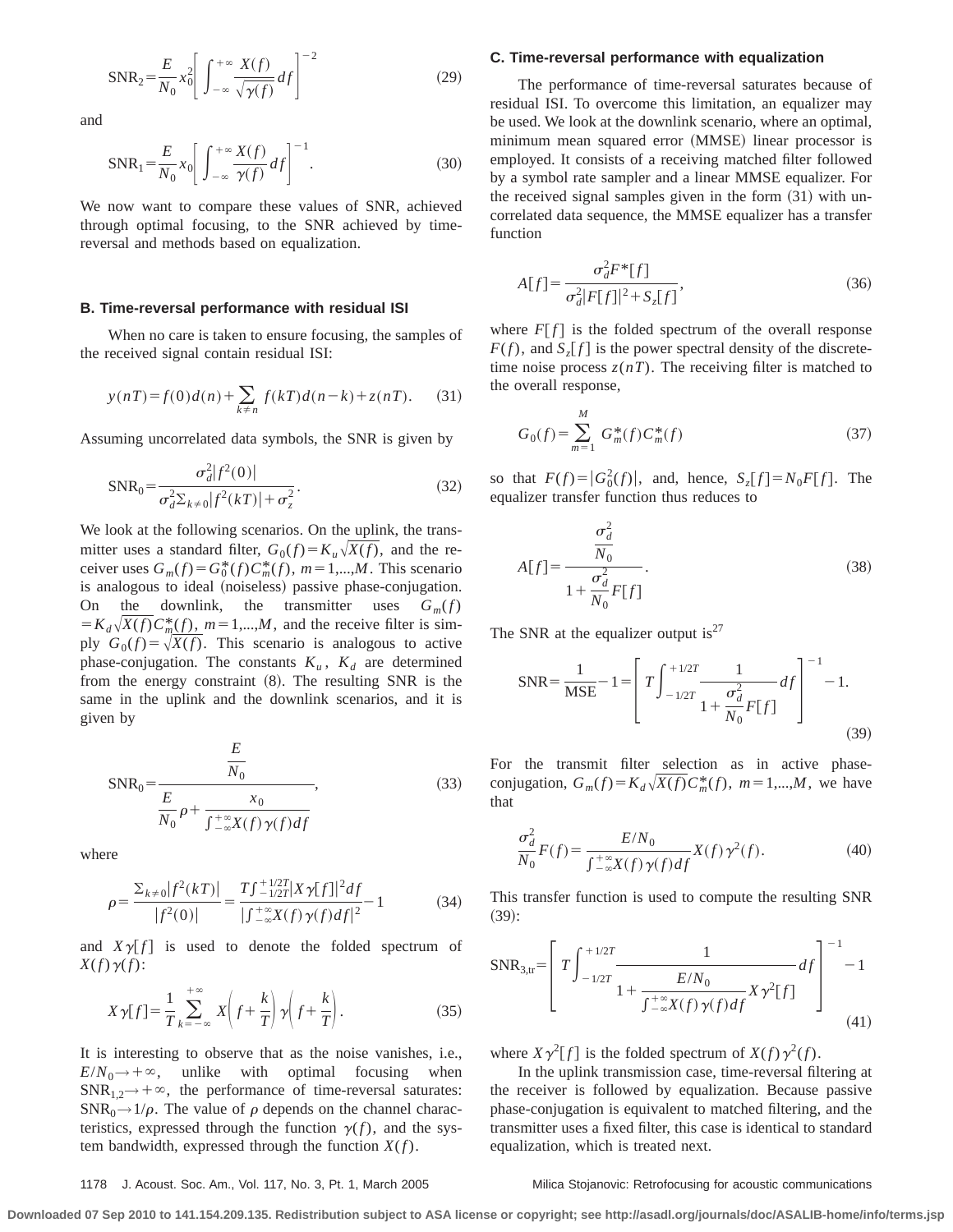$$
SNR_2 = \frac{E}{N_0} x_0^2 \left[ \int_{-\infty}^{+\infty} \frac{X(f)}{\sqrt{\gamma(f)}} df \right]^{-2}
$$
 (29)

and

$$
SNR_1 = \frac{E}{N_0} x_0 \left[ \int_{-\infty}^{+\infty} \frac{X(f)}{\gamma(f)} df \right]^{-1}.
$$
 (30)

We now want to compare these values of SNR, achieved through optimal focusing, to the SNR achieved by timereversal and methods based on equalization.

### **B. Time-reversal performance with residual ISI**

When no care is taken to ensure focusing, the samples of the received signal contain residual ISI:

$$
y(nT) = f(0)d(n) + \sum_{k \neq n} f(kT)d(n-k) + z(nT).
$$
 (31)

Assuming uncorrelated data symbols, the SNR is given by

$$
SNR_0 = \frac{\sigma_d^2 |f^2(0)|}{\sigma_d^2 \Sigma_{k \neq 0} |f^2(kT)| + \sigma_z^2}.
$$
\n(32)

We look at the following scenarios. On the uplink, the transmitter uses a standard filter,  $G_0(f) = K_u \sqrt{X(f)}$ , and the receiver uses  $G_m(f) = G_0^*(f)C_m^*(f)$ ,  $m = 1,...,M$ . This scenario is analogous to ideal (noiseless) passive phase-conjugation. On the downlink, the transmitter uses  $G_m(f)$  $= K_d \sqrt{X(f)} C_m^*(f)$ ,  $m = 1,...,M$ , and the receive filter is simply  $G_0(f) = \sqrt{X(f)}$ . This scenario is analogous to active phase-conjugation. The constants  $K_u$ ,  $K_d$  are determined from the energy constraint  $(8)$ . The resulting SNR is the same in the uplink and the downlink scenarios, and it is given by

$$
SNR_0 = \frac{\frac{E}{N_0}}{\frac{E}{N_0}\rho + \frac{x_0}{\int_{-\infty}^{+\infty} X(f)\,\gamma(f)df}},\tag{33}
$$

where

$$
\rho = \frac{\sum_{k \neq 0} |f^2(kT)|}{|f^2(0)|} = \frac{T \int_{-1/2T}^{+1/2T} |X \gamma[f]|^2 df}{\left| \int_{-\infty}^{+\infty} X(f) \gamma(f) df \right|^2} - 1 \tag{34}
$$

and  $X\gamma[f]$  is used to denote the folded spectrum of  $X(f)\gamma(f)$ :

$$
X\gamma[f] = \frac{1}{T} \sum_{k=-\infty}^{+\infty} X\left(f + \frac{k}{T}\right) \gamma\left(f + \frac{k}{T}\right). \tag{35}
$$

It is interesting to observe that as the noise vanishes, i.e.,  $E/N_0 \rightarrow +\infty$ , unlike with optimal focusing when  $SNR_{1,2}\rightarrow+\infty$ , the performance of time-reversal saturates:  $SNR_0 \rightarrow 1/\rho$ . The value of  $\rho$  depends on the channel characteristics, expressed through the function  $\gamma(f)$ , and the system bandwidth, expressed through the function  $X(f)$ .

### **C. Time-reversal performance with equalization**

The performance of time-reversal saturates because of residual ISI. To overcome this limitation, an equalizer may be used. We look at the downlink scenario, where an optimal, minimum mean squared error (MMSE) linear processor is employed. It consists of a receiving matched filter followed by a symbol rate sampler and a linear MMSE equalizer. For the received signal samples given in the form  $(31)$  with uncorrelated data sequence, the MMSE equalizer has a transfer function

$$
A[f] = \frac{\sigma_d^2 F^* [f]}{\sigma_d^2 |F[f]|^2 + S_z[f]},
$$
\n(36)

where  $F[f]$  is the folded spectrum of the overall response  $F(f)$ , and  $S<sub>z</sub>[f]$  is the power spectral density of the discretetime noise process  $z(nT)$ . The receiving filter is matched to the overall response,

$$
G_0(f) = \sum_{m=1}^{M} G_m^*(f) C_m^*(f)
$$
 (37)

so that  $F(f) = |G_0^2(f)|$ , and, hence,  $S_z[f] = N_0 F[f]$ . The equalizer transfer function thus reduces to

$$
A[f] = \frac{\frac{\sigma_d^2}{N_0}}{1 + \frac{\sigma_d^2}{N_0} F[f]}.
$$
\n(38)

The SNR at the equalizer output is<sup>27</sup>

$$
SNR = \frac{1}{MSE} - 1 = \left[ T \int_{-1/2T}^{+1/2T} \frac{1}{1 + \frac{\sigma_d^2}{N_0} F[f]} df \right]^{-1} - 1.
$$
\n(39)

For the transmit filter selection as in active phaseconjugation,  $G_m(f) = K_d \sqrt{X(f)} C_m^*(f)$ ,  $m = 1,...,M$ , we have that

$$
\frac{\sigma_d^2}{N_0}F(f) = \frac{E/N_0}{\int_{-\infty}^{+\infty} X(f)\,\gamma(f)df}X(f)\,\gamma^2(f). \tag{40}
$$

This transfer function is used to compute the resulting SNR  $(39):$ 

$$
SNR_{3,tr} = \left[ T \int_{-1/2T}^{+1/2T} \frac{1}{1 + \frac{E/N_0}{\int_{-\infty}^{+\infty} X(f) \gamma(f) df} X \gamma^2[f]} \right]^{-1} - 1
$$
\n(41)

where  $X \gamma^2[f]$  is the folded spectrum of  $X(f) \gamma^2(f)$ .

In the uplink transmission case, time-reversal filtering at the receiver is followed by equalization. Because passive phase-conjugation is equivalent to matched filtering, and the transmitter uses a fixed filter, this case is identical to standard equalization, which is treated next.

# 1178 J. Acoust. Soc. Am., Vol. 117, No. 3, Pt. 1, March 2005 Milica Stojanovic: Retrofocusing for acoustic communications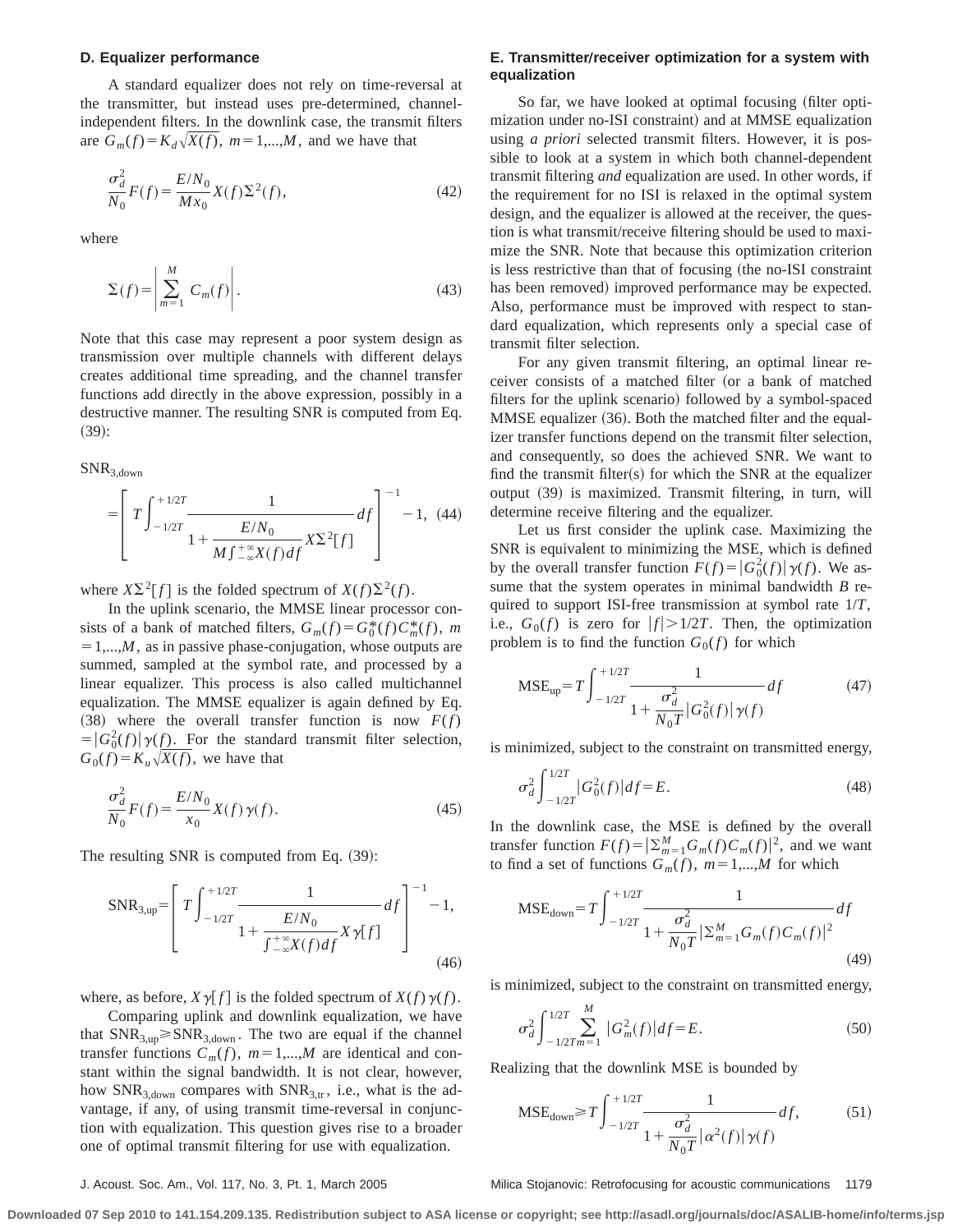## **D. Equalizer performance**

A standard equalizer does not rely on time-reversal at the transmitter, but instead uses pre-determined, channelindependent filters. In the downlink case, the transmit filters are  $G_m(f) = K_d \sqrt{X(f)}$ ,  $m = 1,...,M$ , and we have that

$$
\frac{\sigma_d^2}{N_0}F(f) = \frac{E/N_0}{Mx_0}X(f)\Sigma^2(f),\tag{42}
$$

where

$$
\Sigma(f) = \left| \sum_{m=1}^{M} C_m(f) \right|.
$$
\n(43)

Note that this case may represent a poor system design as transmission over multiple channels with different delays creates additional time spreading, and the channel transfer functions add directly in the above expression, possibly in a destructive manner. The resulting SNR is computed from Eq.  $(39):$ 

SNR3,down

$$
= \left[ T \int_{-1/2T}^{+1/2T} \frac{1}{1 + \frac{E/N_0}{M \int_{-\infty}^{+\infty} X(f) df} X \Sigma^2[f]} df \right]^{-1} - 1, (44)
$$

where  $X\Sigma^2[f]$  is the folded spectrum of  $X(f)\Sigma^2(f)$ .

In the uplink scenario, the MMSE linear processor consists of a bank of matched filters,  $G_m(f) = G_0^*(f)C_m^*(f)$ , *m*  $=1,...,M$ , as in passive phase-conjugation, whose outputs are summed, sampled at the symbol rate, and processed by a linear equalizer. This process is also called multichannel equalization. The MMSE equalizer is again defined by Eq.  $(38)$  where the overall transfer function is now  $F(f)$  $= |G_0^2(f)| \gamma(f)$ . For the standard transmit filter selection,  $G_0(f) = K_u \sqrt{X(f)}$ , we have that

$$
\frac{\sigma_d^2}{N_0}F(f) = \frac{E/N_0}{x_0}X(f)\,\gamma(f). \tag{45}
$$

The resulting SNR is computed from Eq.  $(39)$ :

$$
SNR_{3,up} = \left[ T \int_{-1/2T}^{+1/2T} \frac{1}{1 + \frac{E/N_0}{\int_{-\infty}^{+\infty} X(f) df} X \gamma[f]} df \right]^{-1} - 1,
$$
\n(46)

where, as before,  $X \gamma [f]$  is the folded spectrum of  $X(f) \gamma(f)$ .

Comparing uplink and downlink equalization, we have that  $SNR_{3,up} \geq SNR_{3,down}$ . The two are equal if the channel transfer functions  $C_m(f)$ ,  $m=1,...,M$  are identical and constant within the signal bandwidth. It is not clear, however, how  $SNR_{3,down}$  compares with  $SNR_{3,tr}$ , i.e., what is the advantage, if any, of using transmit time-reversal in conjunction with equalization. This question gives rise to a broader one of optimal transmit filtering for use with equalization.

# **E. Transmitter/receiver optimization for a system with equalization**

So far, we have looked at optimal focusing (filter optimization under no-ISI constraint) and at MMSE equalization using *a priori* selected transmit filters. However, it is possible to look at a system in which both channel-dependent transmit filtering *and* equalization are used. In other words, if the requirement for no ISI is relaxed in the optimal system design, and the equalizer is allowed at the receiver, the question is what transmit/receive filtering should be used to maximize the SNR. Note that because this optimization criterion is less restrictive than that of focusing (the no-ISI constraint has been removed) improved performance may be expected. Also, performance must be improved with respect to standard equalization, which represents only a special case of transmit filter selection.

For any given transmit filtering, an optimal linear receiver consists of a matched filter (or a bank of matched filters for the uplink scenario) followed by a symbol-spaced MMSE equalizer (36). Both the matched filter and the equalizer transfer functions depend on the transmit filter selection, and consequently, so does the achieved SNR. We want to find the transmit filter $(s)$  for which the SNR at the equalizer output (39) is maximized. Transmit filtering, in turn, will determine receive filtering and the equalizer.

Let us first consider the uplink case. Maximizing the SNR is equivalent to minimizing the MSE, which is defined by the overall transfer function  $F(f) = |G_0^2(f)| \gamma(f)$ . We assume that the system operates in minimal bandwidth *B* required to support ISI-free transmission at symbol rate 1/*T*, i.e.,  $G_0(f)$  is zero for  $|f| > 1/2T$ . Then, the optimization problem is to find the function  $G_0(f)$  for which

$$
\text{MSE}_{\text{up}} = T \int_{-1/2T}^{+1/2T} \frac{1}{1 + \frac{\sigma_d^2}{N_0 T} |G_0^2(f)| \gamma(f)} df \tag{47}
$$

is minimized, subject to the constraint on transmitted energy,

$$
\sigma_d^2 \int_{-1/2T}^{1/2T} |G_0^2(f)| df = E. \tag{48}
$$

In the downlink case, the MSE is defined by the overall transfer function  $F(f) = \left| \sum_{m=1}^{M} G_m(f) C_m(f) \right|^2$ , and we want to find a set of functions  $G_m(f)$ ,  $m=1,...,M$  for which

$$
\text{MSE}_{\text{down}} = T \int_{-1/2T}^{+1/2T} \frac{1}{1 + \frac{\sigma_d^2}{N_0 T} |\Sigma_{m=1}^M G_m(f) C_m(f)|^2} df
$$
\n(49)

is minimized, subject to the constraint on transmitted energy,

$$
\sigma_d^2 \int_{-1/2T}^{1/2T} \sum_{m=1}^{M} |G_m^2(f)| df = E. \tag{50}
$$

Realizing that the downlink MSE is bounded by

$$
\text{MSE}_{\text{down}} \ge T \int_{-1/2T}^{+1/2T} \frac{1}{1 + \frac{\sigma_d^2}{N_0 T} |\alpha^2(f)| \gamma(f)} df, \tag{51}
$$

J. Acoust. Soc. Am., Vol. 117, No. 3, Pt. 1, March 2005 Milica Stojanovic: Retrofocusing for acoustic communications 1179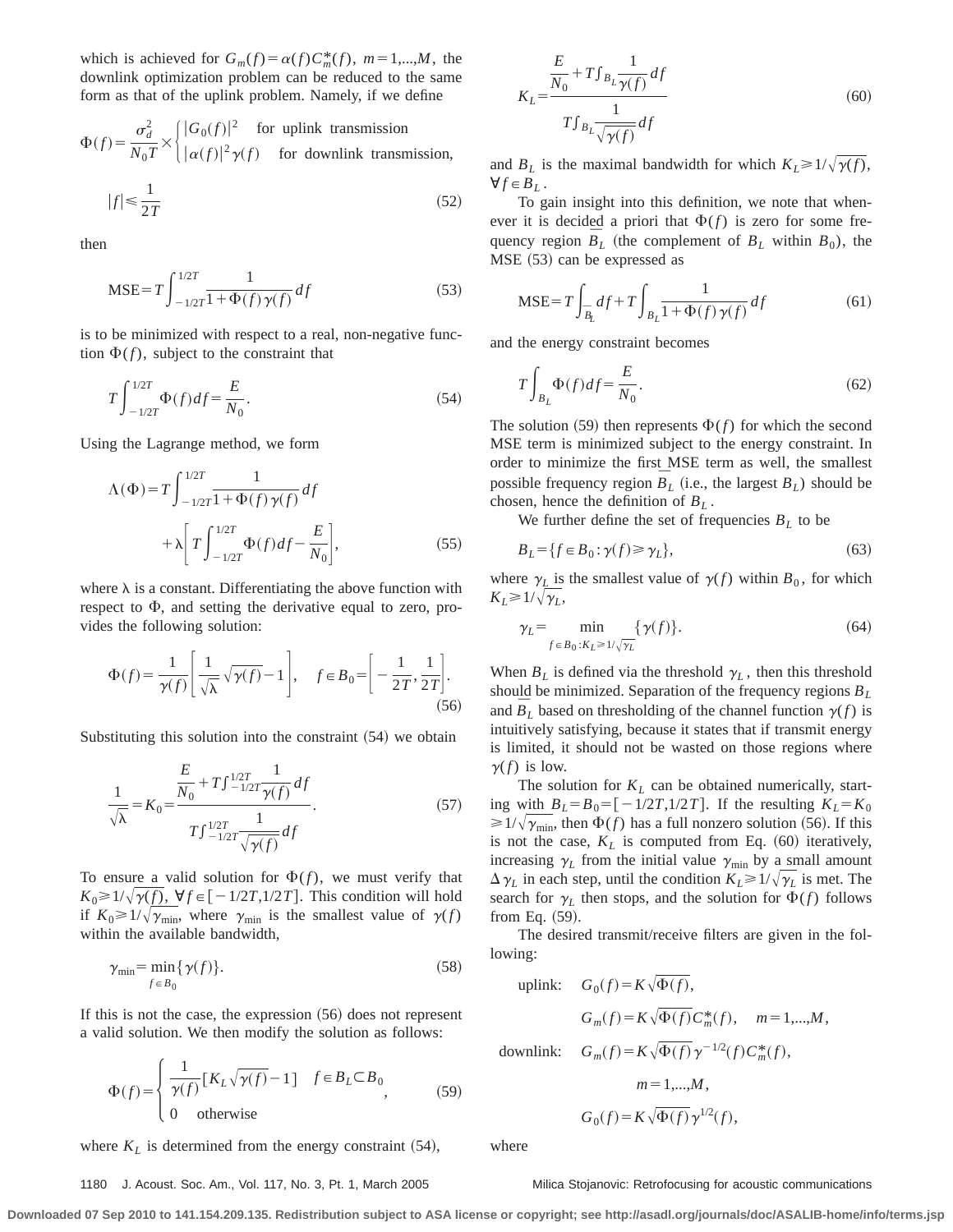which is achieved for  $G_m(f) = \alpha(f) C_m^*(f)$ ,  $m = 1,...,M$ , the downlink optimization problem can be reduced to the same form as that of the uplink problem. Namely, if we define

 $\Phi(f) = \frac{\sigma_d^2}{\sigma_f^2}$  $\frac{\sigma_d^2}{N_0 T} \times \begin{cases} |G_0(f)|^2 & \text{for uplink transmission} \\ |\alpha(f)|^2 \gamma(f) & \text{for downlink transm} \end{cases}$  $|\alpha(f)|^2 \gamma(f)$  for downlink transmission,

$$
|f| \le \frac{1}{2T} \tag{52}
$$

then

$$
\text{MSE} = T \int_{-1/2T}^{1/2T} \frac{1}{1 + \Phi(f) \gamma(f)} df
$$
 (53)

is to be minimized with respect to a real, non-negative function  $\Phi(f)$ , subject to the constraint that

$$
T \int_{-1/2T}^{1/2T} \Phi(f) df = \frac{E}{N_0}.
$$
 (54)

Using the Lagrange method, we form

$$
\Lambda(\Phi) = T \int_{-1/2T}^{1/2T} \frac{1}{1 + \Phi(f)\gamma(f)} df
$$

$$
+ \lambda \left[ T \int_{-1/2T}^{1/2T} \Phi(f) df - \frac{E}{N_0} \right],
$$
(55)

where  $\lambda$  is a constant. Differentiating the above function with respect to  $\Phi$ , and setting the derivative equal to zero, provides the following solution:

$$
\Phi(f) = \frac{1}{\gamma(f)} \left[ \frac{1}{\sqrt{\lambda}} \sqrt{\gamma(f)} - 1 \right], \quad f \in B_0 = \left[ -\frac{1}{2T}, \frac{1}{2T} \right].
$$
\n(56)

Substituting this solution into the constraint  $(54)$  we obtain

$$
\frac{1}{\sqrt{\lambda}} = K_0 = \frac{\frac{E}{N_0} + T \int_{-1/2T}^{1/2T} \frac{1}{\gamma(f)} df}{T \int_{-1/2T}^{1/2T} \frac{1}{\sqrt{\gamma(f)}} df}.
$$
(57)

To ensure a valid solution for  $\Phi(f)$ , we must verify that  $K_0 \geq 1/\sqrt{\gamma(f)}$ ,  $\forall f \in [-1/2T, 1/2T]$ . This condition will hold if  $K_0 \geq 1/\sqrt{\gamma_{\min}}$ , where  $\gamma_{\min}$  is the smallest value of  $\gamma(f)$ within the available bandwidth,

$$
\gamma_{\min} = \min_{f \in B_0} {\gamma(f)}.
$$
\n(58)

If this is not the case, the expression  $(56)$  does not represent a valid solution. We then modify the solution as follows:

$$
\Phi(f) = \begin{cases} \frac{1}{\gamma(f)} [K_L \sqrt{\gamma(f)} - 1] & f \in B_L \subset B_0 \\ 0 & \text{otherwise} \end{cases}
$$
 (59)

where  $K_L$  is determined from the energy constraint  $(54)$ ,

 $K_L$ = *E*  $\frac{1}{N_0}$  +  $T$  $\int_{B_L}$ 1  $\frac{d}{\gamma(f)} df$  $T{\textstyle \int}_{B_L}$ 1  $\frac{d}{\sqrt{\gamma(f)}}$  $(60)$ 

and  $B_L$  is the maximal bandwidth for which  $K_L \geq 1/\sqrt{\gamma(f)}$ ,  $\forall f \in B_L$ .

To gain insight into this definition, we note that whenever it is decided a priori that  $\Phi(f)$  is zero for some frequency region  $\overline{B}_L$  (the complement of  $B_L$  within  $B_0$ ), the  $MSE (53)$  can be expressed as

$$
\text{MSE} = T \int_{\bar{B}_L} df + T \int_{B_L} \frac{1}{1 + \Phi(f) \gamma(f)} df \tag{61}
$$

and the energy constraint becomes

$$
T\int_{B_L} \Phi(f) df = \frac{E}{N_0}.
$$
\n(62)

The solution (59) then represents  $\Phi(f)$  for which the second MSE term is minimized subject to the energy constraint. In order to minimize the first MSE term as well, the smallest possible frequency region  $\overline{B}_L$  (i.e., the largest  $B_L$ ) should be chosen, hence the definition of *BL* .

We further define the set of frequencies  $B_L$  to be

$$
B_L = \{ f \in B_0 : \gamma(f) \ge \gamma_L \},\tag{63}
$$

where  $\gamma$ <sub>L</sub> is the smallest value of  $\gamma$ (*f*) within *B*<sub>0</sub>, for which  $K_L \geq 1/\sqrt{\gamma_L}$ 

$$
\gamma_L = \min_{f \in B_0: K_L \ge 1/\sqrt{\gamma_L}} \{ \gamma(f) \}. \tag{64}
$$

When  $B_L$  is defined via the threshold  $\gamma_L$ , then this threshold should be minimized. Separation of the frequency regions *BL* and  $\overline{B}_L$  based on thresholding of the channel function  $\gamma(f)$  is intuitively satisfying, because it states that if transmit energy is limited, it should not be wasted on those regions where  $\gamma(f)$  is low.

The solution for  $K_L$  can be obtained numerically, starting with  $B_L = B_0 = \begin{bmatrix} -1/2T, 1/2T \end{bmatrix}$ . If the resulting  $K_L = K_0$  $\geq 1/\sqrt{\gamma_{\rm min}}$ , then  $\Phi(f)$  has a full nonzero solution (56). If this is not the case,  $K_L$  is computed from Eq.  $(60)$  iteratively, increasing  $\gamma_L$  from the initial value  $\gamma_{\text{min}}$  by a small amount  $\Delta \gamma_L$  in each step, until the condition  $K_L \geq 1/\sqrt{\gamma_L}$  is met. The search for  $\gamma_L$  then stops, and the solution for  $\Phi(f)$  follows from Eq.  $(59)$ .

The desired transmit/receive filters are given in the following:

uplink: 
$$
G_0(f) = K \sqrt{\Phi(f)}
$$
,  
\n $G_m(f) = K \sqrt{\Phi(f)} C_m^*(f)$ ,  $m = 1,...,M$ ,  
\ndownlink:  $G_m(f) = K \sqrt{\Phi(f)} \gamma^{-1/2}(f) C_m^*(f)$ ,  
\n $m = 1,...,M$ ,  
\n $G_0(f) = K \sqrt{\Phi(f)} \gamma^{1/2}(f)$ ,

where

#### 1180 J. Acoust. Soc. Am., Vol. 117, No. 3, Pt. 1, March 2005 Milica Stojanovic: Retrofocusing for acoustic communications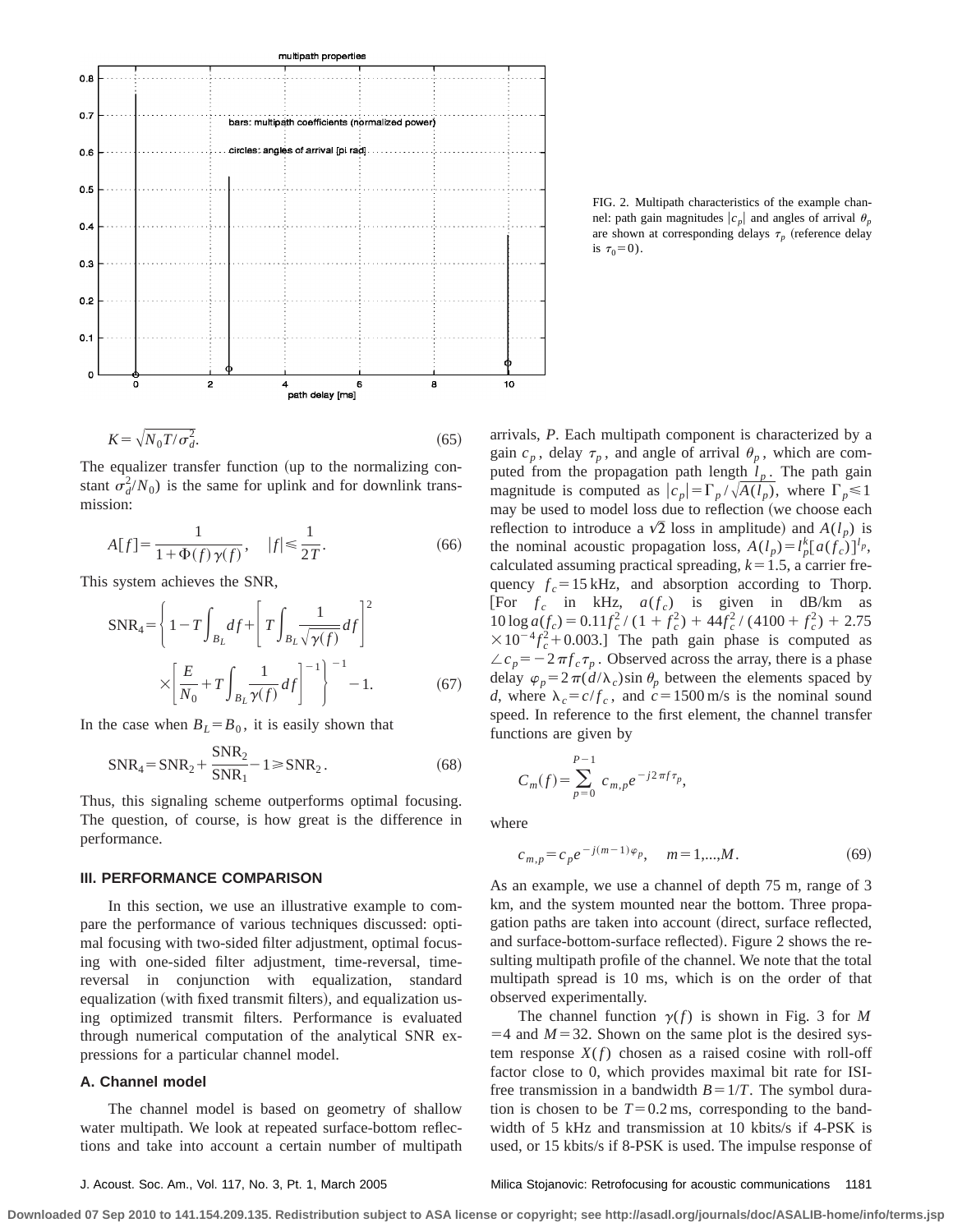

FIG. 2. Multipath characteristics of the example channel: path gain magnitudes  $|c_n|$  and angles of arrival  $\theta_n$ are shown at corresponding delays  $\tau_p$  (reference delay is  $\tau_0 = 0$ ).

$$
K = \sqrt{N_0 T / \sigma_d^2}.
$$
\n(65)

The equalizer transfer function (up to the normalizing constant  $\sigma_d^2/N_0$ ) is the same for uplink and for downlink transmission:

$$
A[f] = \frac{1}{1 + \Phi(f)\,\gamma(f)}, \quad |f| \le \frac{1}{2\,T}.\tag{66}
$$

This system achieves the SNR,

$$
SNR_4 = \left\{ 1 - T \int_{B_L} df + \left[ T \int_{B_L} \frac{1}{\sqrt{\gamma(f)}} df \right]^2 \right\}
$$

$$
\times \left[ \frac{E}{N_0} + T \int_{B_L} \frac{1}{\gamma(f)} df \right]^{-1} \right\}^{-1} - 1.
$$
 (67)

In the case when  $B_L = B_0$ , it is easily shown that

$$
SNR_4 = SNR_2 + \frac{SNR_2}{SNR_1} - 1 \geq SNR_2.
$$
 (68)

Thus, this signaling scheme outperforms optimal focusing. The question, of course, is how great is the difference in performance.

#### **III. PERFORMANCE COMPARISON**

In this section, we use an illustrative example to compare the performance of various techniques discussed: optimal focusing with two-sided filter adjustment, optimal focusing with one-sided filter adjustment, time-reversal, timereversal in conjunction with equalization, standard equalization (with fixed transmit filters), and equalization using optimized transmit filters. Performance is evaluated through numerical computation of the analytical SNR expressions for a particular channel model.

### **A. Channel model**

The channel model is based on geometry of shallow water multipath. We look at repeated surface-bottom reflections and take into account a certain number of multipath arrivals, *P*. Each multipath component is characterized by a gain  $c_p$ , delay  $\tau_p$ , and angle of arrival  $\theta_p$ , which are computed from the propagation path length  $l_p$ . The path gain magnitude is computed as  $|c_p| = \Gamma_p / \sqrt{A(l_p)}$ , where  $\Gamma_p \le 1$ may be used to model loss due to reflection (we choose each reflection to introduce a  $\sqrt{2}$  loss in amplitude) and  $A(l_p)$  is the nominal acoustic propagation loss,  $A(l_p) = l_p^k [a(f_c)]^{l_p}$ , calculated assuming practical spreading,  $k=1.5$ , a carrier frequency  $f_c = 15 \text{ kHz}$ , and absorption according to Thorp. [For  $f_c$  in kHz,  $a(f_c)$  is given in dB/km as  $10 \log a(f_c) = 0.11f_c^2/(1 + f_c^2) + 44f_c^2/(4100 + f_c^2) + 2.75$  $\times 10^{-4} f_c^2 + 0.003$ .] The path gain phase is computed as  $\angle c_p = -2 \pi f_c \tau_p$ . Observed across the array, there is a phase delay  $\varphi_p = 2\pi (d/\lambda_c) \sin \theta_p$  between the elements spaced by *d*, where  $\lambda_c = c/f_c$ , and  $c = 1500$  m/s is the nominal sound speed. In reference to the first element, the channel transfer functions are given by

$$
C_m(f) = \sum_{p=0}^{P-1} c_{m,p} e^{-j2\pi f \tau_p},
$$

where

$$
c_{m,p} = c_p e^{-j(m-1)\varphi_p}, \quad m = 1, \dots, M. \tag{69}
$$

As an example, we use a channel of depth 75 m, range of 3 km, and the system mounted near the bottom. Three propagation paths are taken into account (direct, surface reflected, and surface-bottom-surface reflected). Figure 2 shows the resulting multipath profile of the channel. We note that the total multipath spread is 10 ms, which is on the order of that observed experimentally.

The channel function  $\gamma(f)$  is shown in Fig. 3 for *M*  $=$  4 and  $M = 32$ . Shown on the same plot is the desired system response  $X(f)$  chosen as a raised cosine with roll-off factor close to 0, which provides maximal bit rate for ISIfree transmission in a bandwidth  $B=1/T$ . The symbol duration is chosen to be  $T=0.2$  ms, corresponding to the bandwidth of 5 kHz and transmission at 10 kbits/s if 4-PSK is used, or 15 kbits/s if 8-PSK is used. The impulse response of

J. Acoust. Soc. Am., Vol. 117, No. 3, Pt. 1, March 2005 Milica Stojanovic: Retrofocusing for acoustic communications 1181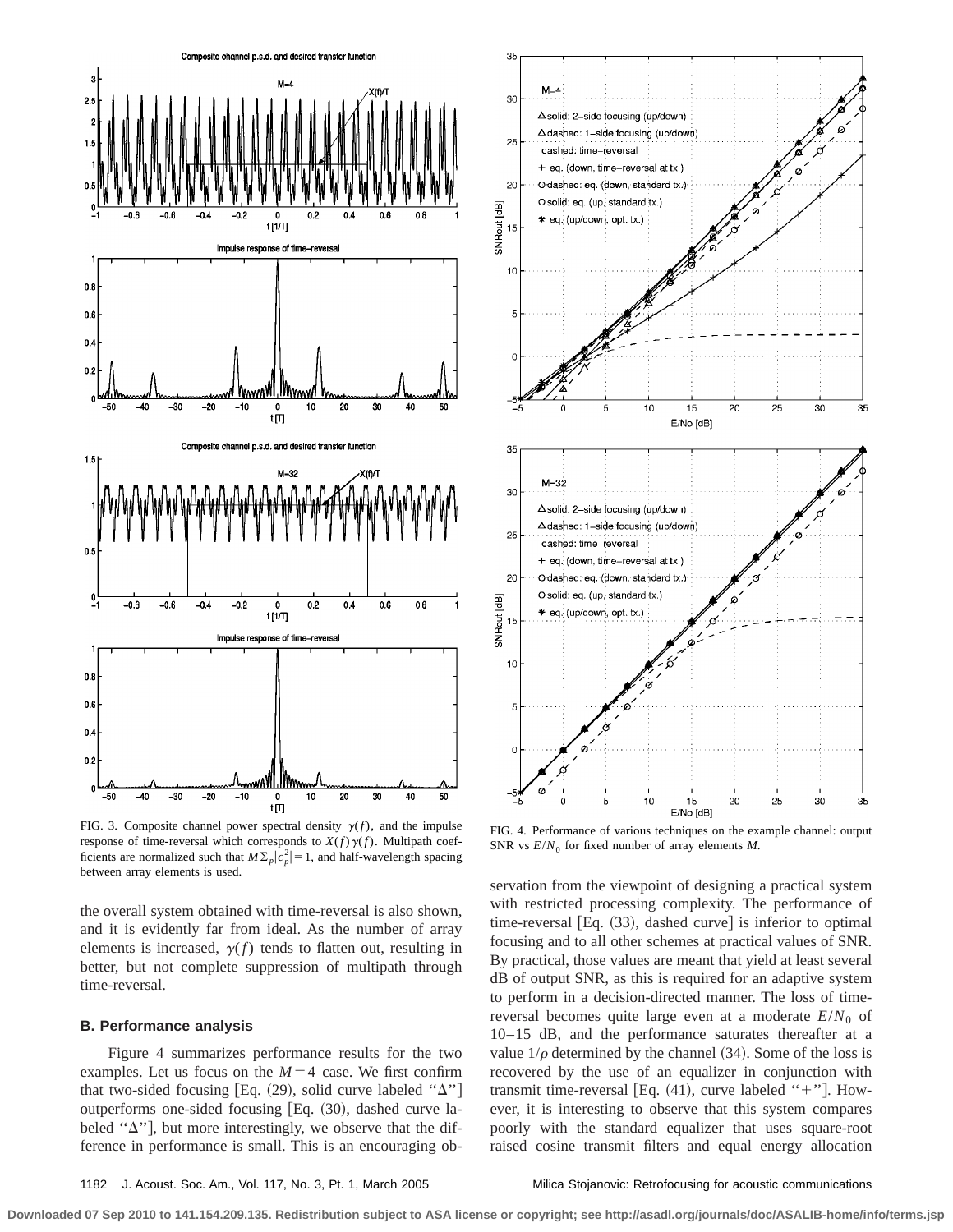

FIG. 3. Composite channel power spectral density  $\gamma(f)$ , and the impulse response of time-reversal which corresponds to  $X(f)\gamma(f)$ . Multipath coefficients are normalized such that  $M\Sigma_p|c_p^2|=1$ , and half-wavelength spacing between array elements is used.

the overall system obtained with time-reversal is also shown, and it is evidently far from ideal. As the number of array elements is increased,  $\gamma(f)$  tends to flatten out, resulting in better, but not complete suppression of multipath through time-reversal.

### **B. Performance analysis**

Figure 4 summarizes performance results for the two examples. Let us focus on the  $M=4$  case. We first confirm that two-sided focusing [Eq. (29), solid curve labeled " $\Delta$ "] outperforms one-sided focusing  $[Eq. (30),$  dashed curve labeled " $\Delta$ "], but more interestingly, we observe that the difference in performance is small. This is an encouraging ob-



FIG. 4. Performance of various techniques on the example channel: output SNR vs  $E/N_0$  for fixed number of array elements *M*.

servation from the viewpoint of designing a practical system with restricted processing complexity. The performance of time-reversal  $[Eq. (33),$  dashed curve] is inferior to optimal focusing and to all other schemes at practical values of SNR. By practical, those values are meant that yield at least several dB of output SNR, as this is required for an adaptive system to perform in a decision-directed manner. The loss of timereversal becomes quite large even at a moderate  $E/N_0$  of 10–15 dB, and the performance saturates thereafter at a value  $1/\rho$  determined by the channel (34). Some of the loss is recovered by the use of an equalizer in conjunction with transmit time-reversal [Eq.  $(41)$ , curve labeled "+"]. However, it is interesting to observe that this system compares poorly with the standard equalizer that uses square-root raised cosine transmit filters and equal energy allocation

1182 J. Acoust. Soc. Am., Vol. 117, No. 3, Pt. 1, March 2005 Milica Stojanovic: Retrofocusing for acoustic communications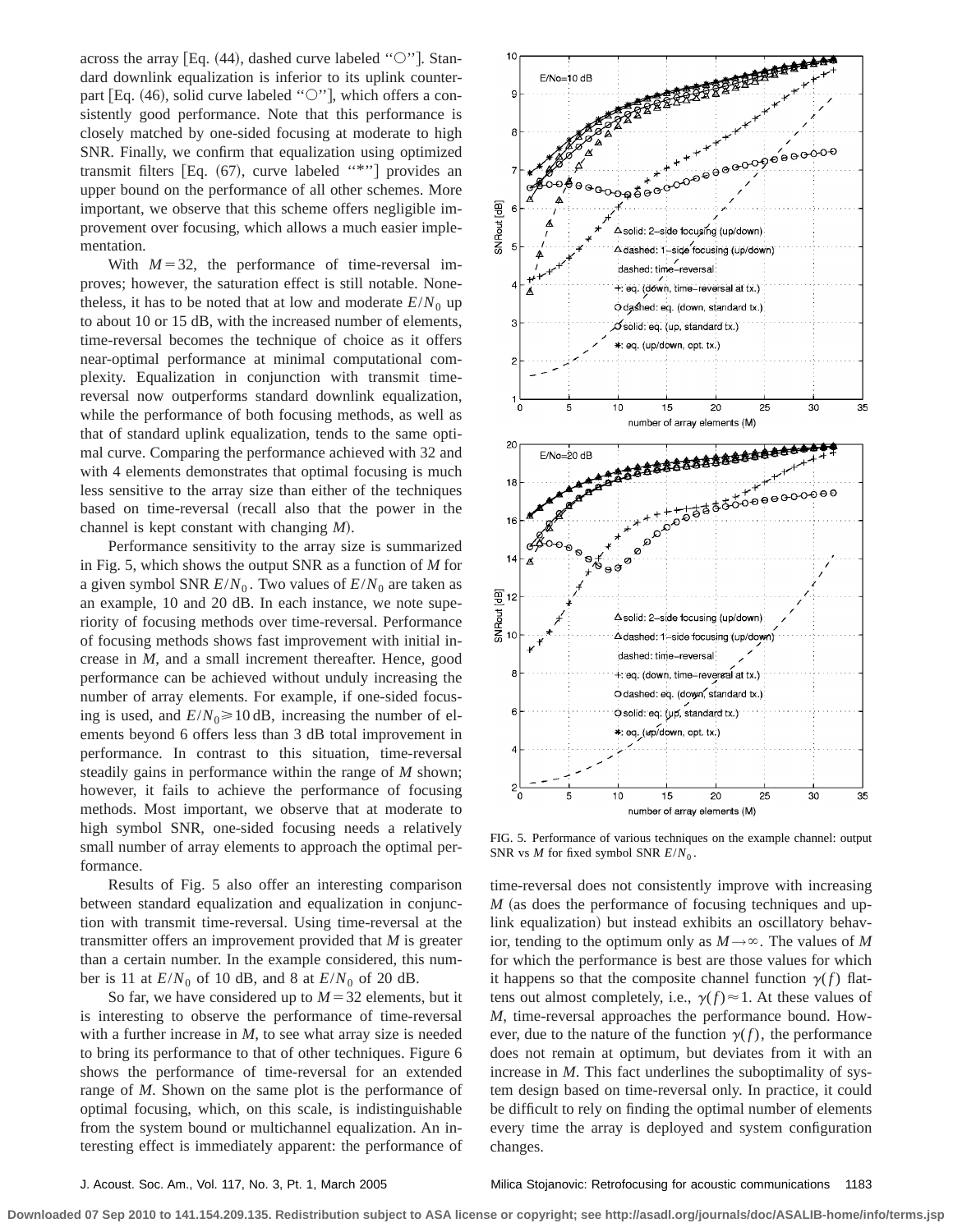across the array [Eq.  $(44)$ , dashed curve labeled " $\circ$ "]. Standard downlink equalization is inferior to its uplink counterpart [Eq.  $(46)$ , solid curve labeled " $\circ$ "], which offers a consistently good performance. Note that this performance is closely matched by one-sided focusing at moderate to high SNR. Finally, we confirm that equalization using optimized transmit filters [Eq.  $(67)$ , curve labeled "\*"] provides an upper bound on the performance of all other schemes. More important, we observe that this scheme offers negligible improvement over focusing, which allows a much easier implementation.

With  $M=32$ , the performance of time-reversal improves; however, the saturation effect is still notable. Nonetheless, it has to be noted that at low and moderate  $E/N_0$  up to about 10 or 15 dB, with the increased number of elements, time-reversal becomes the technique of choice as it offers near-optimal performance at minimal computational complexity. Equalization in conjunction with transmit timereversal now outperforms standard downlink equalization, while the performance of both focusing methods, as well as that of standard uplink equalization, tends to the same optimal curve. Comparing the performance achieved with 32 and with 4 elements demonstrates that optimal focusing is much less sensitive to the array size than either of the techniques based on time-reversal (recall also that the power in the channel is kept constant with changing *M*!.

Performance sensitivity to the array size is summarized in Fig. 5, which shows the output SNR as a function of *M* for a given symbol SNR  $E/N_0$ . Two values of  $E/N_0$  are taken as an example, 10 and 20 dB. In each instance, we note superiority of focusing methods over time-reversal. Performance of focusing methods shows fast improvement with initial increase in *M*, and a small increment thereafter. Hence, good performance can be achieved without unduly increasing the number of array elements. For example, if one-sided focusing is used, and  $E/N_0 \ge 10$  dB, increasing the number of elements beyond 6 offers less than 3 dB total improvement in performance. In contrast to this situation, time-reversal steadily gains in performance within the range of *M* shown; however, it fails to achieve the performance of focusing methods. Most important, we observe that at moderate to high symbol SNR, one-sided focusing needs a relatively small number of array elements to approach the optimal performance.

Results of Fig. 5 also offer an interesting comparison between standard equalization and equalization in conjunction with transmit time-reversal. Using time-reversal at the transmitter offers an improvement provided that *M* is greater than a certain number. In the example considered, this number is 11 at  $E/N_0$  of 10 dB, and 8 at  $E/N_0$  of 20 dB.

So far, we have considered up to  $M=32$  elements, but it is interesting to observe the performance of time-reversal with a further increase in *M*, to see what array size is needed to bring its performance to that of other techniques. Figure 6 shows the performance of time-reversal for an extended range of *M*. Shown on the same plot is the performance of optimal focusing, which, on this scale, is indistinguishable from the system bound or multichannel equalization. An interesting effect is immediately apparent: the performance of



FIG. 5. Performance of various techniques on the example channel: output SNR vs  $M$  for fixed symbol SNR  $E/N_0$ .

time-reversal does not consistently improve with increasing  $M$  (as does the performance of focusing techniques and uplink equalization) but instead exhibits an oscillatory behavior, tending to the optimum only as  $M \rightarrow \infty$ . The values of *M* for which the performance is best are those values for which it happens so that the composite channel function  $\gamma(f)$  flattens out almost completely, i.e.,  $\gamma(f) \approx 1$ . At these values of *M*, time-reversal approaches the performance bound. However, due to the nature of the function  $\gamma(f)$ , the performance does not remain at optimum, but deviates from it with an increase in *M*. This fact underlines the suboptimality of system design based on time-reversal only. In practice, it could be difficult to rely on finding the optimal number of elements every time the array is deployed and system configuration changes.

J. Acoust. Soc. Am., Vol. 117, No. 3, Pt. 1, March 2005 Milica Stojanovic: Retrofocusing for acoustic communications 1183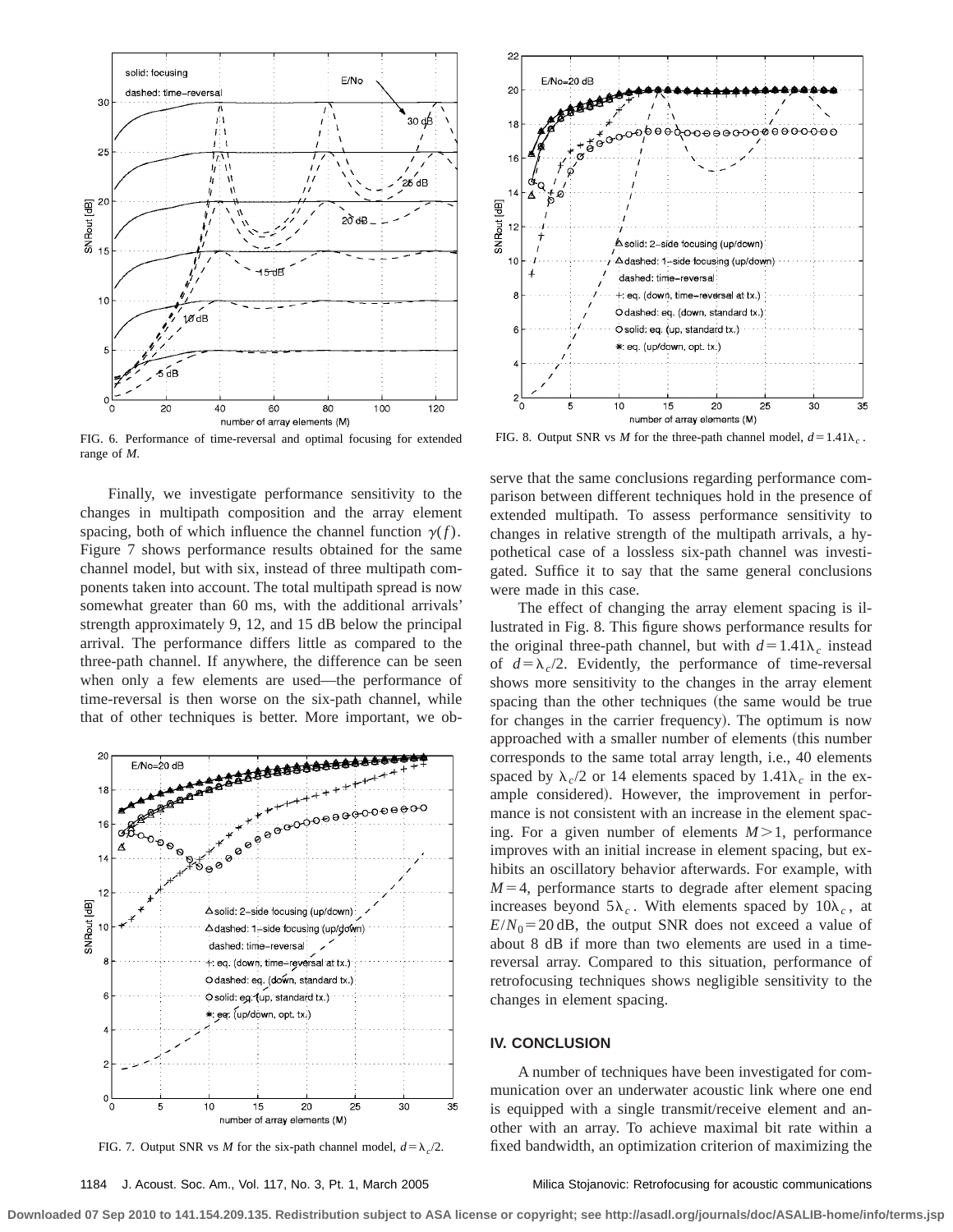

FIG. 6. Performance of time-reversal and optimal focusing for extended range of *M*.

Finally, we investigate performance sensitivity to the changes in multipath composition and the array element spacing, both of which influence the channel function  $\gamma(f)$ . Figure 7 shows performance results obtained for the same channel model, but with six, instead of three multipath components taken into account. The total multipath spread is now somewhat greater than 60 ms, with the additional arrivals' strength approximately 9, 12, and 15 dB below the principal arrival. The performance differs little as compared to the three-path channel. If anywhere, the difference can be seen when only a few elements are used—the performance of time-reversal is then worse on the six-path channel, while that of other techniques is better. More important, we ob-



FIG. 7. Output SNR vs *M* for the six-path channel model,  $d = \lambda_c/2$ .

1184 J. Acoust. Soc. Am., Vol. 117, No. 3, Pt. 1, March 2005 Milica Stojanovic: Retrofocusing for acoustic communications



FIG. 8. Output SNR vs *M* for the three-path channel model,  $d=1.41\lambda_c$ .

serve that the same conclusions regarding performance comparison between different techniques hold in the presence of extended multipath. To assess performance sensitivity to changes in relative strength of the multipath arrivals, a hypothetical case of a lossless six-path channel was investigated. Suffice it to say that the same general conclusions were made in this case.

The effect of changing the array element spacing is illustrated in Fig. 8. This figure shows performance results for the original three-path channel, but with  $d=1.41\lambda_c$  instead of  $d = \lambda_c/2$ . Evidently, the performance of time-reversal shows more sensitivity to the changes in the array element spacing than the other techniques (the same would be true for changes in the carrier frequency). The optimum is now approached with a smaller number of elements (this number corresponds to the same total array length, i.e., 40 elements spaced by  $\lambda_c/2$  or 14 elements spaced by  $1.41\lambda_c$  in the example considered). However, the improvement in performance is not consistent with an increase in the element spacing. For a given number of elements  $M>1$ , performance improves with an initial increase in element spacing, but exhibits an oscillatory behavior afterwards. For example, with  $M=4$ , performance starts to degrade after element spacing increases beyond  $5\lambda_c$ . With elements spaced by  $10\lambda_c$ , at  $E/N_0$ =20 dB, the output SNR does not exceed a value of about 8 dB if more than two elements are used in a timereversal array. Compared to this situation, performance of retrofocusing techniques shows negligible sensitivity to the changes in element spacing.

# **IV. CONCLUSION**

A number of techniques have been investigated for communication over an underwater acoustic link where one end is equipped with a single transmit/receive element and another with an array. To achieve maximal bit rate within a fixed bandwidth, an optimization criterion of maximizing the